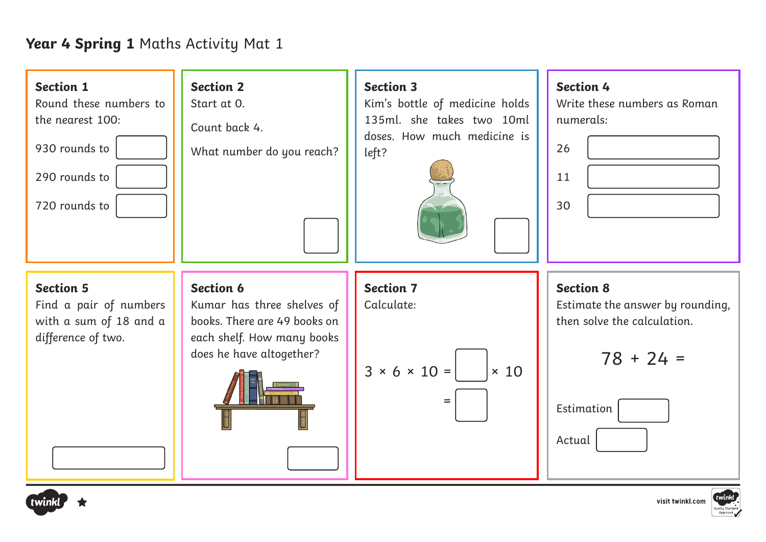## Year 4 Spring 1 Maths Activity Mat 1





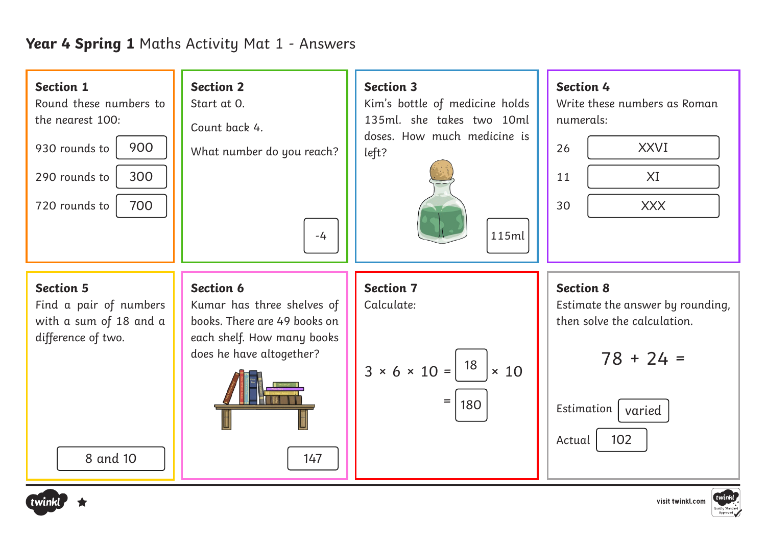## **Year 4 Spring 1** Maths Activity Mat 1 - Answers





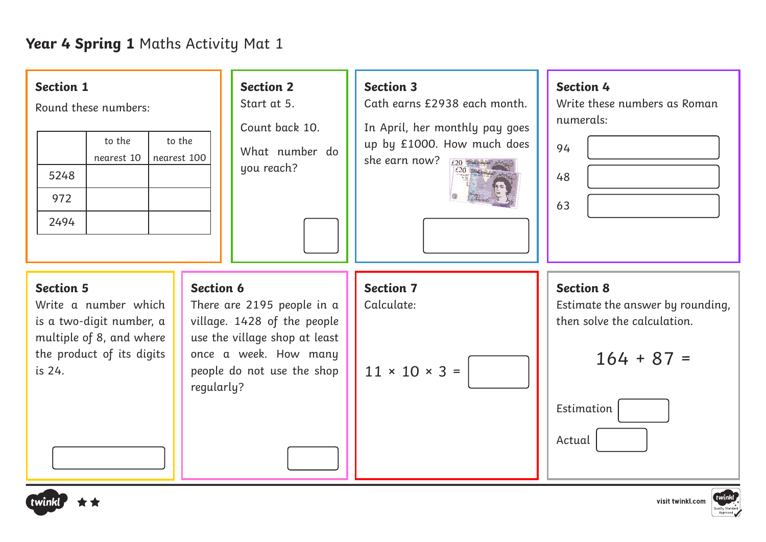# **Year 4 Spring 1** Maths Activity Mat 1

| <b>Section 1</b><br>Round these numbers:<br>to the<br>to the<br>nearest 10<br>nearest 100<br>5248<br>972<br>2494                        | <b>Section 2</b><br>Start at 5.<br>Count back 10.<br>What number do<br>you reach?                                                                                                   | <b>Section 3</b><br>Cath earns £2938 each month.<br>In April, her monthly pay goes<br>up by £1000. How much does<br>she earn now?<br>$\frac{f20}{f20}$ | <b>Section 4</b><br>Write these numbers as Roman<br>numerals:<br>94<br>48<br>63                                             |
|-----------------------------------------------------------------------------------------------------------------------------------------|-------------------------------------------------------------------------------------------------------------------------------------------------------------------------------------|--------------------------------------------------------------------------------------------------------------------------------------------------------|-----------------------------------------------------------------------------------------------------------------------------|
| <b>Section 5</b><br>Write a number which<br>is a two-digit number, a<br>multiple of 8, and where<br>the product of its digits<br>is 24. | <b>Section 6</b><br>There are 2195 people in a<br>village. 1428 of the people<br>use the village shop at least<br>once a week. How many<br>people do not use the shop<br>regularly? | <b>Section 7</b><br>Calculate:<br>$11 \times 10 \times 3 =$                                                                                            | <b>Section 8</b><br>Estimate the answer by rounding,<br>then solve the calculation.<br>$164 + 87 =$<br>Estimation<br>Actual |





visit twinkl.com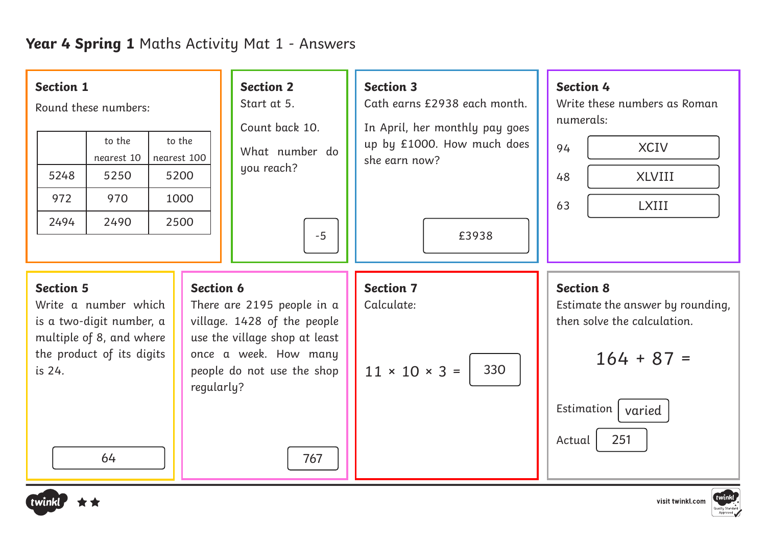## **Year 4 Spring 1** Maths Activity Mat 1 - Answers





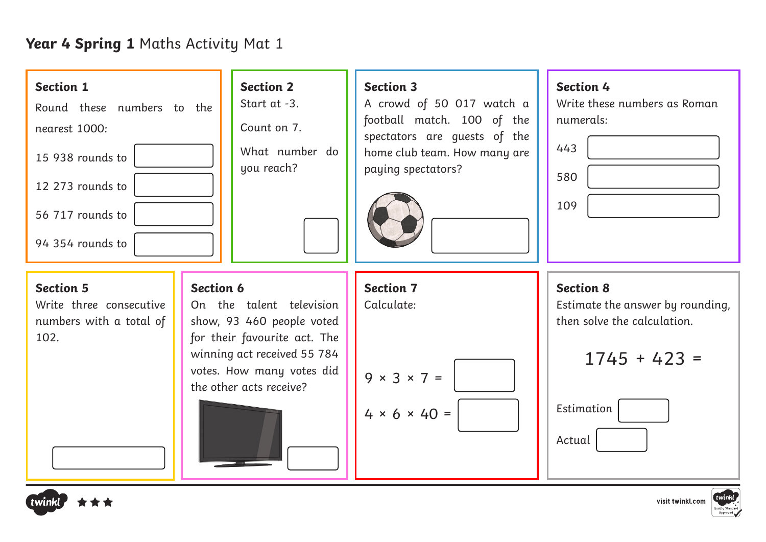## **Year 4 Spring 1** Maths Activity Mat 1







visit twinkl.com